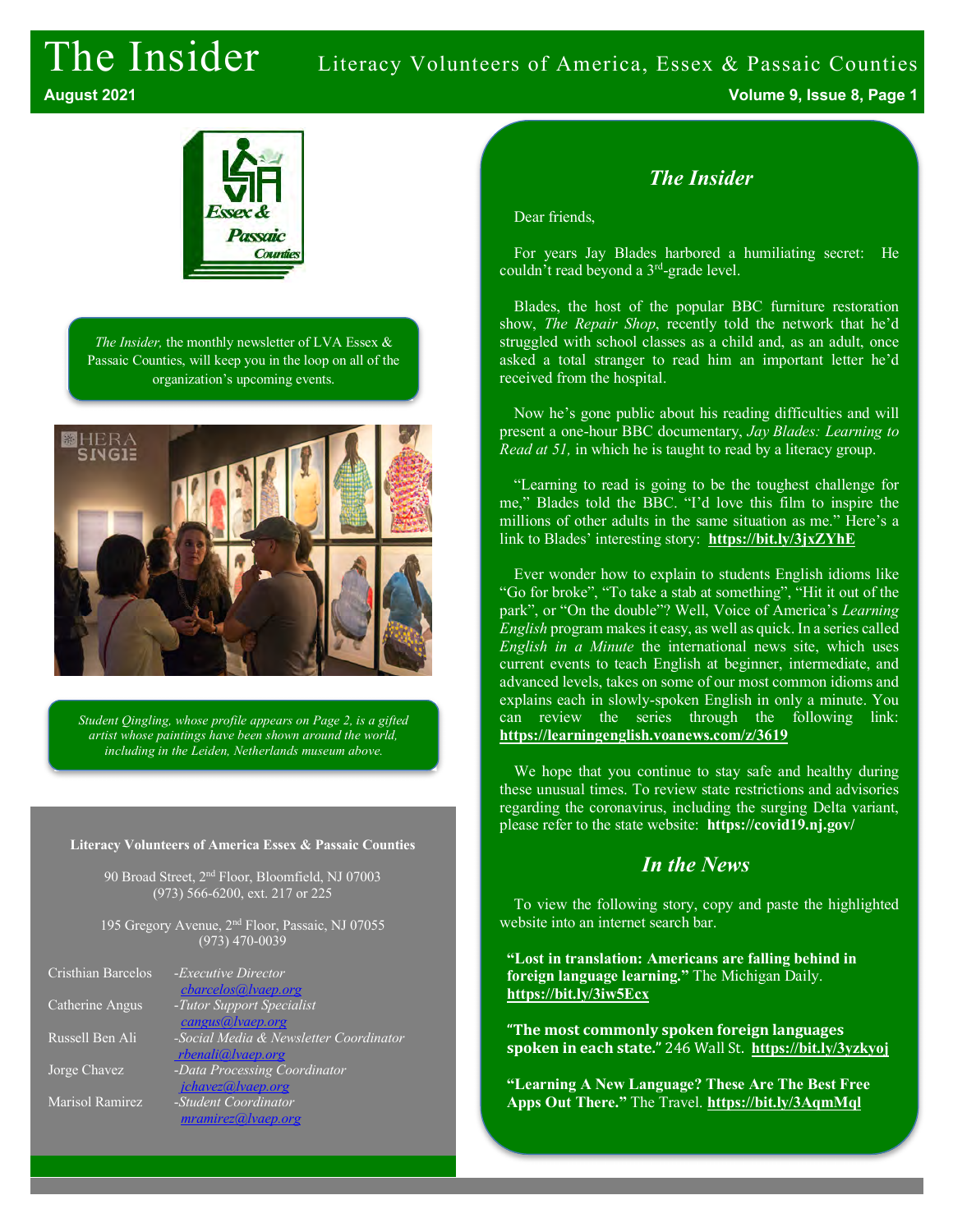# The Insider Literacy Volunteers of America, Essex & Passaic Counties



*The Insider,* the monthly newsletter of LVA Essex & Passaic Counties, will keep you in the loop on all of the organization's upcoming events.



*Student Qingling, whose profile appears on Page 2, is a gifted artist whose paintings have been shown around the world, including in the Leiden, Netherlands museum above.*

#### **Literacy Volunteers of America Essex & Passaic Counties**

90 Broad Street, 2nd Floor, Bloomfield, NJ 07003 (973) 566-6200, ext. 217 or 225

195 Gregory Avenue, 2nd Floor, Passaic, NJ 07055 (973) 470-0039

| Cristhian Barcelos | - <i>Executive Director</i>            |
|--------------------|----------------------------------------|
|                    | cbarcelos@lvaep.org                    |
| Catherine Angus    | -Tutor Support Specialist              |
|                    | cangus@lvaep.org                       |
| Russell Ben Ali    | -Social Media & Newsletter Coordinator |
|                    | rbenali@lvaep.org                      |
| Jorge Chavez       | -Data Processing Coordinator           |
|                    | jchavez@lvaep.org                      |
| Marisol Ramirez    | -Student Coordinator                   |
|                    | mramirez@ vaep.org                     |
|                    |                                        |

## *The Insider*

Dear friends,

For years Jay Blades harbored a humiliating secret: He couldn't read beyond a 3rd-grade level.

Blades, the host of the popular BBC furniture restoration show, *The Repair Shop*, recently told the network that he'd struggled with school classes as a child and, as an adult, once asked a total stranger to read him an important letter he'd received from the hospital.

Now he's gone public about his reading difficulties and will present a one-hour BBC documentary, *Jay Blades: Learning to Read at 51,* in which he is taught to read by a literacy group.

"Learning to read is going to be the toughest challenge for me," Blades told the BBC. "I'd love this film to inspire the millions of other adults in the same situation as me." Here's a link to Blades' interesting story: **https://bit.ly/3jxZYhE**

Ever wonder how to explain to students English idioms like "Go for broke", "To take a stab at something", "Hit it out of the park", or "On the double"? Well, Voice of America's *Learning English* program makes it easy, as well as quick. In a series called *English in a Minute* the international news site, which uses current events to teach English at beginner, intermediate, and advanced levels, takes on some of our most common idioms and explains each in slowly-spoken English in only a minute. You can review the series through the following link: **https://learningenglish.voanews.com/z/3619**

We hope that you continue to stay safe and healthy during these unusual times. To review state restrictions and advisories regarding the coronavirus, including the surging Delta variant, please refer to the state website: **https://covid19.nj.gov/**

#### *In the News*

To view the following story, copy and paste the highlighted website into an internet search bar.

**"Lost in translation: Americans are falling behind in foreign language learning."** The Michigan Daily. **https://bit.ly/3iw5Ecx**

**"The most commonly spoken foreign languages spoken in each state."** 246 Wall St. https://bit.ly/3yzkyoj

**"Learning A New Language? These Are The Best Free Apps Out There."** The Travel. **https://bit.ly/3AqmMql**

**August 2021 Volume 9, Issue 8, Page 1**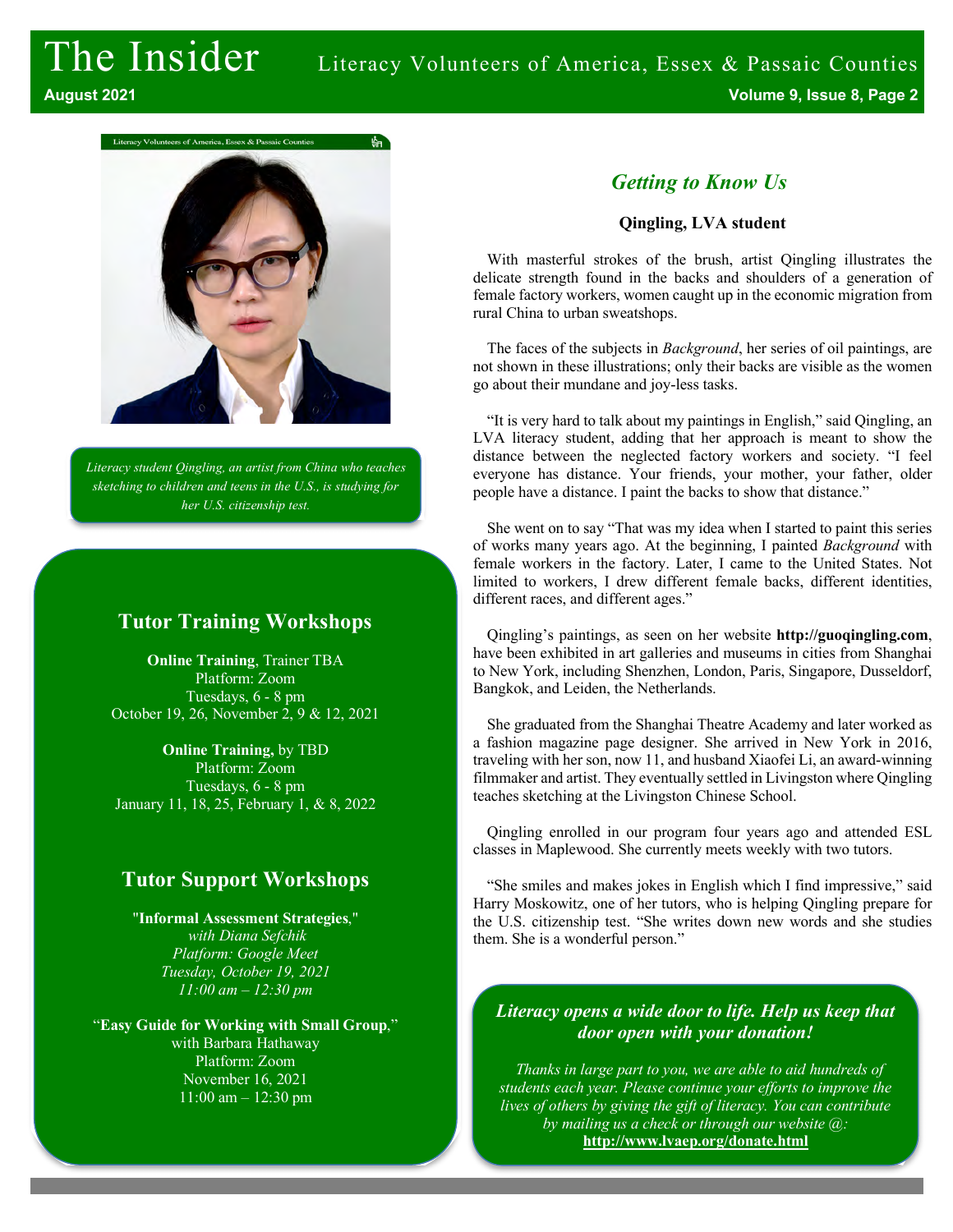

*Literacy student Qingling, an artist from China who teaches sketching to children and teens in the U.S., is studying for her U.S. citizenship test.*

### **Tutor Training Workshops**

**Online Training**, Trainer TBA Platform: Zoom Tuesdays, 6 - 8 pm October 19, 26, November 2, 9 & 12, 2021

**Online Training,** by TBD Platform: Zoom Tuesdays, 6 - 8 pm January 11, 18, 25, February 1, & 8, 2022

# **Tutor Support Workshops**

"**Informal Assessment Strategies**," *with Diana Sefchik Platform: Google Meet Tuesday, October 19, 2021 11:00 am – 12:30 pm*

"**Easy Guide for Working with Small Group**," with Barbara Hathaway Platform: Zoom November 16, 2021 11:00 am – 12:30 pm

# *Getting to Know Us*

#### **Qingling, LVA student**

With masterful strokes of the brush, artist Qingling illustrates the delicate strength found in the backs and shoulders of a generation of female factory workers, women caught up in the economic migration from rural China to urban sweatshops.

The faces of the subjects in *Background*, her series of oil paintings, are not shown in these illustrations; only their backs are visible as the women go about their mundane and joy-less tasks.

"It is very hard to talk about my paintings in English," said Qingling, an LVA literacy student, adding that her approach is meant to show the distance between the neglected factory workers and society. "I feel everyone has distance. Your friends, your mother, your father, older people have a distance. I paint the backs to show that distance."

She went on to say "That was my idea when I started to paint this series of works many years ago. At the beginning, I painted *Background* with female workers in the factory. Later, I came to the United States. Not limited to workers, I drew different female backs, different identities, different races, and different ages."

Qingling's paintings, as seen on her website **http://guoqingling.com**, have been exhibited in art galleries and museums in cities from Shanghai to New York, including Shenzhen, London, Paris, Singapore, Dusseldorf, Bangkok, and Leiden, the Netherlands.

She graduated from the Shanghai Theatre Academy and later worked as a fashion magazine page designer. She arrived in New York in 2016, traveling with her son, now 11, and husband Xiaofei Li, an award-winning filmmaker and artist. They eventually settled in Livingston where Qingling teaches sketching at the Livingston Chinese School.

Qingling enrolled in our program four years ago and attended ESL classes in Maplewood. She currently meets weekly with two tutors.

"She smiles and makes jokes in English which I find impressive," said Harry Moskowitz, one of her tutors, who is helping Qingling prepare for the U.S. citizenship test. "She writes down new words and she studies them. She is a wonderful person."

#### *Literacy opens a wide door to life. Help us keep that door open with your donation!*

*Thanks in large part to you, we are able to aid hundreds of students each year. Please continue your efforts to improve the lives of others by giving the gift of literacy. You can contribute by mailing us a check or through our website @:* **http://www.lvaep.org/donate.html**

*or by mailing us a check.*